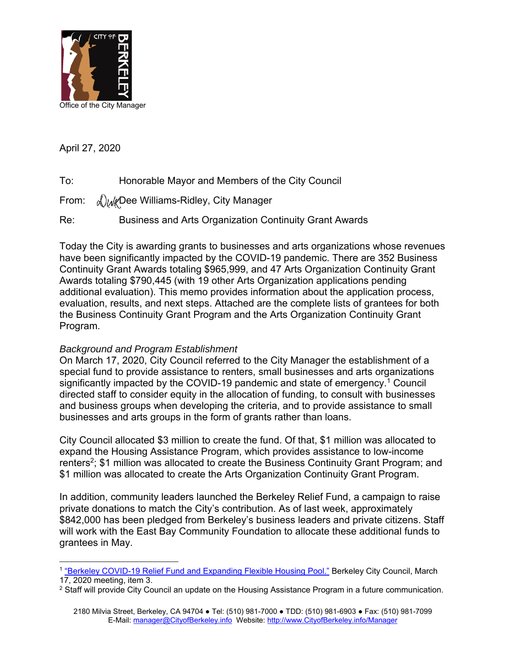

April 27, 2020

- To: Honorable Mayor and Members of the City Council
- From:  $\Delta u/v$ Dee Williams-Ridley, City Manager

Re: Business and Arts Organization Continuity Grant Awards

Today the City is awarding grants to businesses and arts organizations whose revenues have been significantly impacted by the COVID-19 pandemic. There are 352 Business Continuity Grant Awards totaling \$965,999, and 47 Arts Organization Continuity Grant Awards totaling \$790,445 (with 19 other Arts Organization applications pending additional evaluation). This memo provides information about the application process, evaluation, results, and next steps. Attached are the complete lists of grantees for both the Business Continuity Grant Program and the Arts Organization Continuity Grant Program.

## *Background and Program Establishment*

On March 17, 2020, City Council referred to the City Manager the establishment of a special fund to provide assistance to renters, small businesses and arts organizations significantly impacted by the COVID-19 pandemic and state of emergency.<sup>1</sup> Council directed staff to consider equity in the allocation of funding, to consult with businesses and business groups when developing the criteria, and to provide assistance to small businesses and arts groups in the form of grants rather than loans.

City Council allocated \$3 million to create the fund. Of that, \$1 million was allocated to expand the Housing Assistance Program, which provides assistance to low-income renters<sup>2</sup>; \$1 million was allocated to create the Business Continuity Grant Program; and \$1 million was allocated to create the Arts Organization Continuity Grant Program.

In addition, community leaders launched the Berkeley Relief Fund, a campaign to raise private donations to match the City's contribution. As of last week, approximately \$842,000 has been pledged from Berkeley's business leaders and private citizens. Staff will work with the East Bay Community Foundation to allocate these additional funds to grantees in May.

 $\overline{a}$ <sup>1</sup> ["Berkeley COVID-19 Relief Fund and Expanding Flexible Housing Pool."](https://www.cityofberkeley.info/Clerk/City_Council/2020/03_Mar/Documents/2020-03-17_Special_Item_03_Berkeley_COVID-19_Relief_Fund_pdf.aspx) Berkeley City Council, March 17, 2020 meeting, item 3.

 $2$  Staff will provide City Council an update on the Housing Assistance Program in a future communication.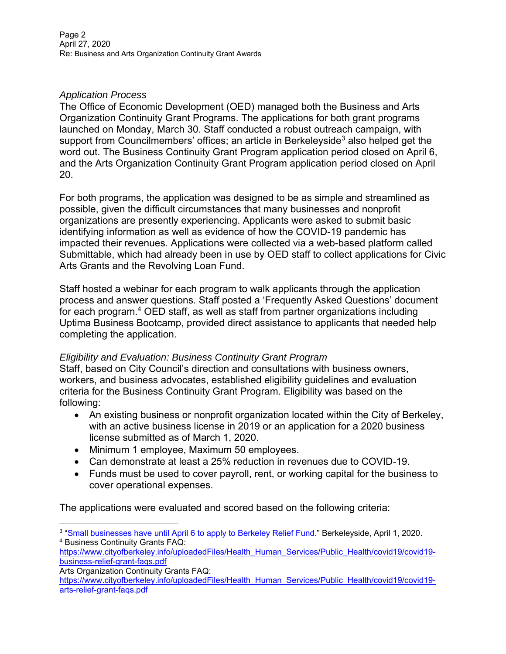# *Application Process*

The Office of Economic Development (OED) managed both the Business and Arts Organization Continuity Grant Programs. The applications for both grant programs launched on Monday, March 30. Staff conducted a robust outreach campaign, with support from Councilmembers' offices; an article in Berkeleyside<sup>3</sup> also helped get the word out. The Business Continuity Grant Program application period closed on April 6, and the Arts Organization Continuity Grant Program application period closed on April 20.

For both programs, the application was designed to be as simple and streamlined as possible, given the difficult circumstances that many businesses and nonprofit organizations are presently experiencing. Applicants were asked to submit basic identifying information as well as evidence of how the COVID-19 pandemic has impacted their revenues. Applications were collected via a web-based platform called Submittable, which had already been in use by OED staff to collect applications for Civic Arts Grants and the Revolving Loan Fund.

Staff hosted a webinar for each program to walk applicants through the application process and answer questions. Staff posted a 'Frequently Asked Questions' document for each program.<sup>4</sup> OED staff, as well as staff from partner organizations including Uptima Business Bootcamp, provided direct assistance to applicants that needed help completing the application.

## *Eligibility and Evaluation: Business Continuity Grant Program*

Staff, based on City Council's direction and consultations with business owners, workers, and business advocates, established eligibility guidelines and evaluation criteria for the Business Continuity Grant Program. Eligibility was based on the following:

- An existing business or nonprofit organization located within the City of Berkeley, with an active business license in 2019 or an application for a 2020 business license submitted as of March 1, 2020.
- Minimum 1 employee, Maximum 50 employees.
- Can demonstrate at least a 25% reduction in revenues due to COVID-19.
- Funds must be used to cover payroll, rent, or working capital for the business to cover operational expenses.

The applications were evaluated and scored based on the following criteria:

 $\overline{a}$ <sup>3</sup> "<u>Small businesses have until April 6 to apply to Berkeley Relief Fund.</u>" Berkeleyside, April 1, 2020. <sup>4</sup> Business Continuity Grants FAQ:

[https://www.cityofberkeley.info/uploadedFiles/Health\\_Human\\_Services/Public\\_Health/covid19/covid19](https://www.cityofberkeley.info/uploadedFiles/Health_Human_Services/Public_Health/covid19/covid19-business-relief-grant-faqs.pdf) [business-relief-grant-faqs.pdf](https://www.cityofberkeley.info/uploadedFiles/Health_Human_Services/Public_Health/covid19/covid19-business-relief-grant-faqs.pdf)

Arts Organization Continuity Grants FAQ:

[https://www.cityofberkeley.info/uploadedFiles/Health\\_Human\\_Services/Public\\_Health/covid19/covid19](https://www.cityofberkeley.info/uploadedFiles/Health_Human_Services/Public_Health/covid19/covid19-arts-relief-grant-faqs.pdf) [arts-relief-grant-faqs.pdf](https://www.cityofberkeley.info/uploadedFiles/Health_Human_Services/Public_Health/covid19/covid19-arts-relief-grant-faqs.pdf)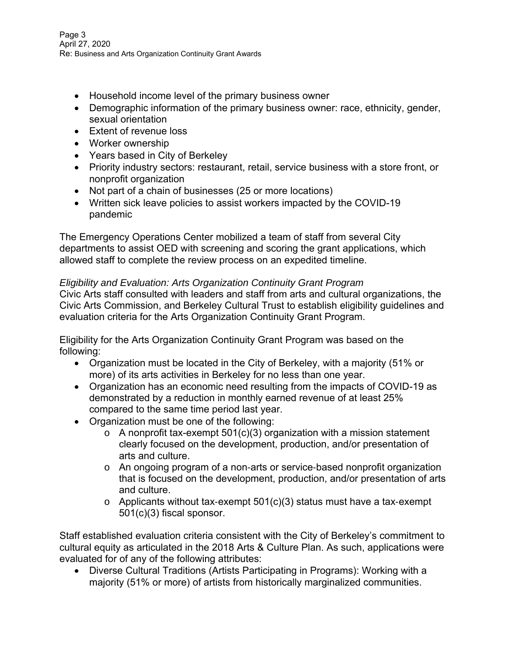- Household income level of the primary business owner
- Demographic information of the primary business owner: race, ethnicity, gender, sexual orientation
- Extent of revenue loss
- Worker ownership
- Years based in City of Berkeley
- Priority industry sectors: restaurant, retail, service business with a store front, or nonprofit organization
- Not part of a chain of businesses (25 or more locations)
- Written sick leave policies to assist workers impacted by the COVID-19 pandemic

The Emergency Operations Center mobilized a team of staff from several City departments to assist OED with screening and scoring the grant applications, which allowed staff to complete the review process on an expedited timeline.

## *Eligibility and Evaluation: Arts Organization Continuity Grant Program*

Civic Arts staff consulted with leaders and staff from arts and cultural organizations, the Civic Arts Commission, and Berkeley Cultural Trust to establish eligibility guidelines and evaluation criteria for the Arts Organization Continuity Grant Program.

Eligibility for the Arts Organization Continuity Grant Program was based on the following:

- Organization must be located in the City of Berkeley, with a majority (51% or more) of its arts activities in Berkeley for no less than one year.
- Organization has an economic need resulting from the impacts of COVID-19 as demonstrated by a reduction in monthly earned revenue of at least 25% compared to the same time period last year.
- Organization must be one of the following:
	- $\circ$  A nonprofit tax-exempt 501(c)(3) organization with a mission statement clearly focused on the development, production, and/or presentation of arts and culture.
	- o An ongoing program of a non‐arts or service‐based nonprofit organization that is focused on the development, production, and/or presentation of arts and culture.
	- $\circ$  Applicants without tax-exempt 501(c)(3) status must have a tax-exempt 501(c)(3) fiscal sponsor.

Staff established evaluation criteria consistent with the City of Berkeley's commitment to cultural equity as articulated in the 2018 Arts & Culture Plan. As such, applications were evaluated for of any of the following attributes:

• Diverse Cultural Traditions (Artists Participating in Programs): Working with a majority (51% or more) of artists from historically marginalized communities.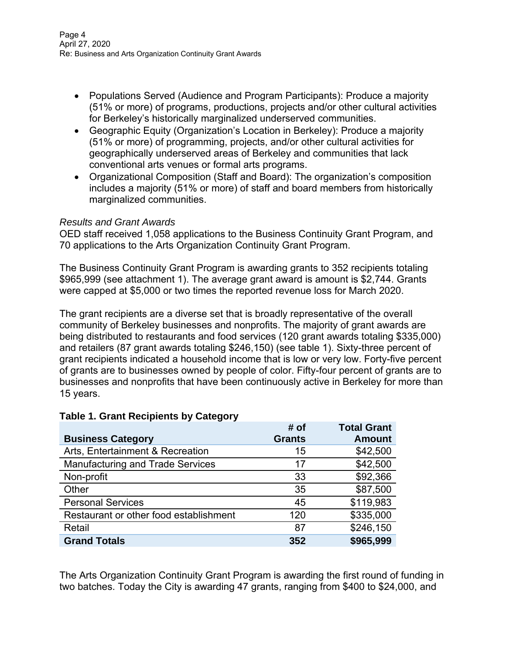- Populations Served (Audience and Program Participants): Produce a majority (51% or more) of programs, productions, projects and/or other cultural activities for Berkeley's historically marginalized underserved communities.
- Geographic Equity (Organization's Location in Berkeley): Produce a majority (51% or more) of programming, projects, and/or other cultural activities for geographically underserved areas of Berkeley and communities that lack conventional arts venues or formal arts programs.
- Organizational Composition (Staff and Board): The organization's composition includes a majority (51% or more) of staff and board members from historically marginalized communities.

### *Results and Grant Awards*

OED staff received 1,058 applications to the Business Continuity Grant Program, and 70 applications to the Arts Organization Continuity Grant Program.

The Business Continuity Grant Program is awarding grants to 352 recipients totaling \$965,999 (see attachment 1). The average grant award is amount is \$2,744. Grants were capped at \$5,000 or two times the reported revenue loss for March 2020.

The grant recipients are a diverse set that is broadly representative of the overall community of Berkeley businesses and nonprofits. The majority of grant awards are being distributed to restaurants and food services (120 grant awards totaling \$335,000) and retailers (87 grant awards totaling \$246,150) (see table 1). Sixty-three percent of grant recipients indicated a household income that is low or very low. Forty-five percent of grants are to businesses owned by people of color. Fifty-four percent of grants are to businesses and nonprofits that have been continuously active in Berkeley for more than 15 years.

|                                         | # of          | <b>Total Grant</b> |
|-----------------------------------------|---------------|--------------------|
| <b>Business Category</b>                | <b>Grants</b> | <b>Amount</b>      |
| Arts, Entertainment & Recreation        | 15            | \$42,500           |
| <b>Manufacturing and Trade Services</b> | 17            | \$42,500           |
| Non-profit                              | 33            | \$92,366           |
| Other                                   | 35            | \$87,500           |
| <b>Personal Services</b>                | 45            | \$119,983          |
| Restaurant or other food establishment  | 120           | \$335,000          |
| Retail                                  | 87            | \$246,150          |
| <b>Grand Totals</b>                     | 352           | \$965,999          |

## **Table 1. Grant Recipients by Category**

The Arts Organization Continuity Grant Program is awarding the first round of funding in two batches. Today the City is awarding 47 grants, ranging from \$400 to \$24,000, and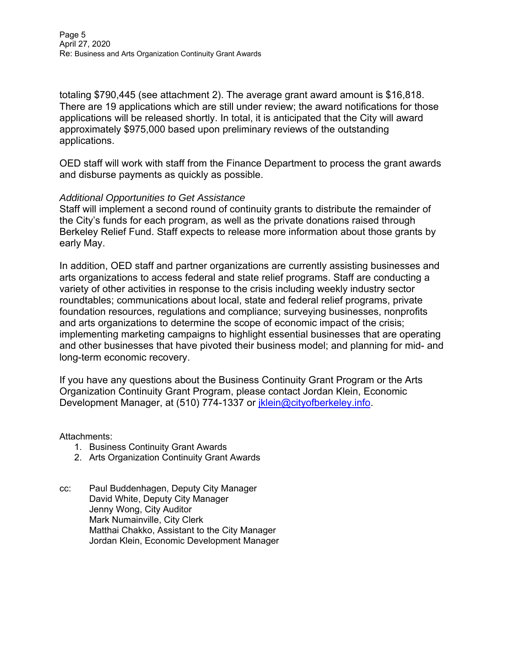totaling \$790,445 (see attachment 2). The average grant award amount is \$16,818. There are 19 applications which are still under review; the award notifications for those applications will be released shortly. In total, it is anticipated that the City will award approximately \$975,000 based upon preliminary reviews of the outstanding applications.

OED staff will work with staff from the Finance Department to process the grant awards and disburse payments as quickly as possible.

#### *Additional Opportunities to Get Assistance*

Staff will implement a second round of continuity grants to distribute the remainder of the City's funds for each program, as well as the private donations raised through Berkeley Relief Fund. Staff expects to release more information about those grants by early May.

In addition, OED staff and partner organizations are currently assisting businesses and arts organizations to access federal and state relief programs. Staff are conducting a variety of other activities in response to the crisis including weekly industry sector roundtables; communications about local, state and federal relief programs, private foundation resources, regulations and compliance; surveying businesses, nonprofits and arts organizations to determine the scope of economic impact of the crisis; implementing marketing campaigns to highlight essential businesses that are operating and other businesses that have pivoted their business model; and planning for mid- and long-term economic recovery.

If you have any questions about the Business Continuity Grant Program or the Arts Organization Continuity Grant Program, please contact Jordan Klein, Economic Development Manager, at (510) 774-1337 or *iklein@cityofberkeley.info.* 

Attachments:

- 1. Business Continuity Grant Awards
- 2. Arts Organization Continuity Grant Awards
- cc: Paul Buddenhagen, Deputy City Manager David White, Deputy City Manager Jenny Wong, City Auditor Mark Numainville, City Clerk Matthai Chakko, Assistant to the City Manager Jordan Klein, Economic Development Manager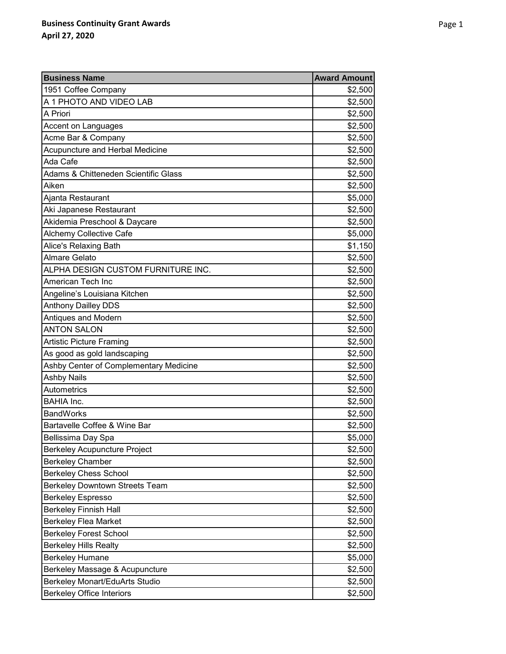| <b>Business Name</b>                   | <b>Award Amount</b> |
|----------------------------------------|---------------------|
| 1951 Coffee Company                    | \$2,500             |
| A 1 PHOTO AND VIDEO LAB                | \$2,500             |
| A Priori                               | \$2,500             |
| Accent on Languages                    | \$2,500             |
| Acme Bar & Company                     | \$2,500             |
| Acupuncture and Herbal Medicine        | \$2,500             |
| Ada Cafe                               | \$2,500             |
| Adams & Chitteneden Scientific Glass   | \$2,500             |
| Aiken                                  | \$2,500             |
| Ajanta Restaurant                      | \$5,000             |
| Aki Japanese Restaurant                | \$2,500             |
| Akidemia Preschool & Daycare           | \$2,500             |
| Alchemy Collective Cafe                | \$5,000             |
| Alice's Relaxing Bath                  | \$1,150             |
| <b>Almare Gelato</b>                   | \$2,500             |
| ALPHA DESIGN CUSTOM FURNITURE INC.     | \$2,500             |
| American Tech Inc                      | \$2,500             |
| Angeline's Louisiana Kitchen           | \$2,500             |
| <b>Anthony Dailley DDS</b>             | \$2,500             |
| Antiques and Modern                    | \$2,500             |
| <b>ANTON SALON</b>                     | \$2,500             |
| <b>Artistic Picture Framing</b>        | \$2,500             |
| As good as gold landscaping            | \$2,500             |
| Ashby Center of Complementary Medicine | \$2,500             |
| <b>Ashby Nails</b>                     | \$2,500             |
| Autometrics                            | \$2,500             |
| <b>BAHIA Inc.</b>                      | \$2,500             |
| <b>BandWorks</b>                       | \$2,500             |
| Bartavelle Coffee & Wine Bar           | \$2,500             |
| Bellissima Day Spa                     | \$5,000             |
| <b>Berkeley Acupuncture Project</b>    | \$2,500             |
| <b>Berkeley Chamber</b>                | \$2,500             |
| <b>Berkeley Chess School</b>           | \$2,500             |
| <b>Berkeley Downtown Streets Team</b>  | \$2,500             |
| <b>Berkeley Espresso</b>               | \$2,500             |
| <b>Berkeley Finnish Hall</b>           | \$2,500             |
| <b>Berkeley Flea Market</b>            | \$2,500             |
| <b>Berkeley Forest School</b>          | \$2,500             |
| <b>Berkeley Hills Realty</b>           | \$2,500             |
| <b>Berkeley Humane</b>                 | \$5,000             |
| Berkeley Massage & Acupuncture         | \$2,500             |
| <b>Berkeley Monart/EduArts Studio</b>  | \$2,500             |
| <b>Berkeley Office Interiors</b>       | \$2,500             |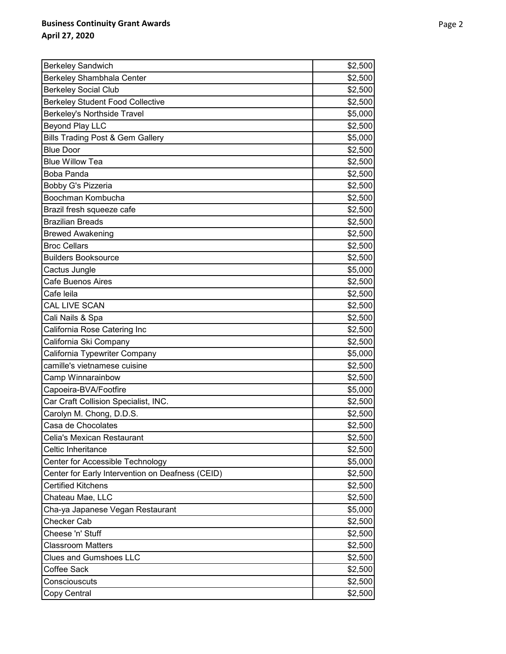| <b>Berkeley Sandwich</b>                         | \$2,500 |
|--------------------------------------------------|---------|
| Berkeley Shambhala Center                        | \$2,500 |
| <b>Berkeley Social Club</b>                      | \$2,500 |
| <b>Berkeley Student Food Collective</b>          | \$2,500 |
| Berkeley's Northside Travel                      | \$5,000 |
| <b>Beyond Play LLC</b>                           | \$2,500 |
| <b>Bills Trading Post &amp; Gem Gallery</b>      | \$5,000 |
| <b>Blue Door</b>                                 | \$2,500 |
| <b>Blue Willow Tea</b>                           | \$2,500 |
| Boba Panda                                       | \$2,500 |
| Bobby G's Pizzeria                               | \$2,500 |
| Boochman Kombucha                                | \$2,500 |
| Brazil fresh squeeze cafe                        | \$2,500 |
| <b>Brazilian Breads</b>                          | \$2,500 |
| <b>Brewed Awakening</b>                          | \$2,500 |
| <b>Broc Cellars</b>                              | \$2,500 |
| <b>Builders Booksource</b>                       | \$2,500 |
| Cactus Jungle                                    | \$5,000 |
| Cafe Buenos Aires                                | \$2,500 |
| Cafe leila                                       | \$2,500 |
| CAL LIVE SCAN                                    | \$2,500 |
| Cali Nails & Spa                                 | \$2,500 |
| California Rose Catering Inc                     | \$2,500 |
| California Ski Company                           | \$2,500 |
| California Typewriter Company                    | \$5,000 |
| camille's vietnamese cuisine                     | \$2,500 |
| Camp Winnarainbow                                | \$2,500 |
| Capoeira-BVA/Footfire                            | \$5,000 |
| Car Craft Collision Specialist, INC.             | \$2,500 |
| Carolyn M. Chong, D.D.S.                         | \$2,500 |
| Casa de Chocolates                               | \$2,500 |
| <b>Celia's Mexican Restaurant</b>                | \$2,500 |
| Celtic Inheritance                               | \$2,500 |
| Center for Accessible Technology                 | \$5,000 |
| Center for Early Intervention on Deafness (CEID) | \$2,500 |
| <b>Certified Kitchens</b>                        | \$2,500 |
| Chateau Mae, LLC                                 | \$2,500 |
| Cha-ya Japanese Vegan Restaurant                 | \$5,000 |
| <b>Checker Cab</b>                               | \$2,500 |
| Cheese 'n' Stuff                                 | \$2,500 |
| <b>Classroom Matters</b>                         | \$2,500 |
| <b>Clues and Gumshoes LLC</b>                    | \$2,500 |
| Coffee Sack                                      | \$2,500 |
| Consciouscuts                                    | \$2,500 |
| Copy Central                                     | \$2,500 |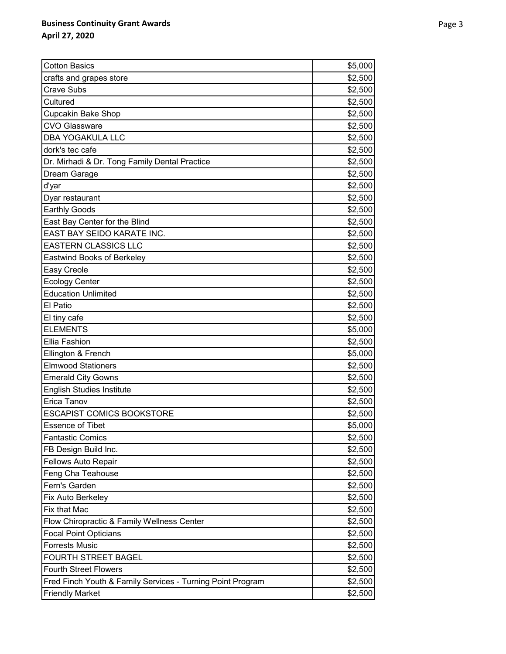| <b>Cotton Basics</b>                                       | \$5,000 |
|------------------------------------------------------------|---------|
| crafts and grapes store                                    | \$2,500 |
| <b>Crave Subs</b>                                          | \$2,500 |
| Cultured                                                   | \$2,500 |
| Cupcakin Bake Shop                                         | \$2,500 |
| <b>CVO Glassware</b>                                       | \$2,500 |
| <b>DBA YOGAKULA LLC</b>                                    | \$2,500 |
| dork's tec cafe                                            | \$2,500 |
| Dr. Mirhadi & Dr. Tong Family Dental Practice              | \$2,500 |
| Dream Garage                                               | \$2,500 |
| d'yar                                                      | \$2,500 |
| Dyar restaurant                                            | \$2,500 |
| <b>Earthly Goods</b>                                       | \$2,500 |
| East Bay Center for the Blind                              | \$2,500 |
| EAST BAY SEIDO KARATE INC.                                 | \$2,500 |
| <b>EASTERN CLASSICS LLC</b>                                | \$2,500 |
| <b>Eastwind Books of Berkeley</b>                          | \$2,500 |
| Easy Creole                                                | \$2,500 |
| <b>Ecology Center</b>                                      | \$2,500 |
| <b>Education Unlimited</b>                                 | \$2,500 |
| El Patio                                                   | \$2,500 |
| El tiny cafe                                               | \$2,500 |
| <b>ELEMENTS</b>                                            | \$5,000 |
| Ellia Fashion                                              | \$2,500 |
| Ellington & French                                         | \$5,000 |
| <b>Elmwood Stationers</b>                                  | \$2,500 |
| <b>Emerald City Gowns</b>                                  | \$2,500 |
| <b>English Studies Institute</b>                           | \$2,500 |
| Erica Tanov                                                | \$2,500 |
| <b>ESCAPIST COMICS BOOKSTORE</b>                           | \$2,500 |
| <b>Essence of Tibet</b>                                    | \$5,000 |
| <b>Fantastic Comics</b>                                    | \$2,500 |
| FB Design Build Inc.                                       | \$2,500 |
| <b>Fellows Auto Repair</b>                                 | \$2,500 |
| Feng Cha Teahouse                                          | \$2,500 |
| Fern's Garden                                              | \$2,500 |
| Fix Auto Berkeley                                          | \$2,500 |
| Fix that Mac                                               | \$2,500 |
| Flow Chiropractic & Family Wellness Center                 | \$2,500 |
| <b>Focal Point Opticians</b>                               | \$2,500 |
| <b>Forrests Music</b>                                      | \$2,500 |
| <b>FOURTH STREET BAGEL</b>                                 | \$2,500 |
| <b>Fourth Street Flowers</b>                               | \$2,500 |
| Fred Finch Youth & Family Services - Turning Point Program | \$2,500 |
| <b>Friendly Market</b>                                     | \$2,500 |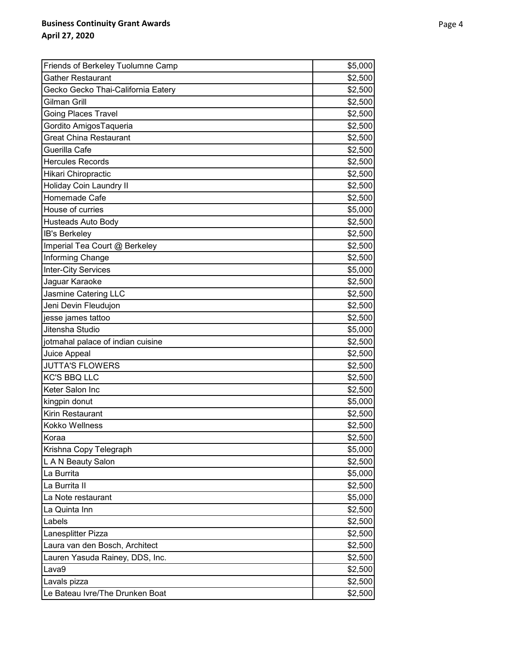| Friends of Berkeley Tuolumne Camp  | \$5,000 |
|------------------------------------|---------|
| <b>Gather Restaurant</b>           | \$2,500 |
| Gecko Gecko Thai-California Eatery | \$2,500 |
| Gilman Grill                       | \$2,500 |
| <b>Going Places Travel</b>         | \$2,500 |
| Gordito AmigosTaqueria             | \$2,500 |
| <b>Great China Restaurant</b>      | \$2,500 |
| Guerilla Cafe                      | \$2,500 |
| <b>Hercules Records</b>            | \$2,500 |
| Hikari Chiropractic                | \$2,500 |
| <b>Holiday Coin Laundry II</b>     | \$2,500 |
| Homemade Cafe                      | \$2,500 |
| House of curries                   | \$5,000 |
| <b>Husteads Auto Body</b>          | \$2,500 |
| IB's Berkeley                      | \$2,500 |
| Imperial Tea Court @ Berkeley      | \$2,500 |
| Informing Change                   | \$2,500 |
| <b>Inter-City Services</b>         | \$5,000 |
| Jaguar Karaoke                     | \$2,500 |
| Jasmine Catering LLC               | \$2,500 |
| Jeni Devin Fleudujon               | \$2,500 |
| jesse james tattoo                 | \$2,500 |
| Jitensha Studio                    | \$5,000 |
| jotmahal palace of indian cuisine  | \$2,500 |
| Juice Appeal                       | \$2,500 |
| <b>JUTTA'S FLOWERS</b>             | \$2,500 |
| <b>KC'S BBQ LLC</b>                | \$2,500 |
| Keter Salon Inc                    | \$2,500 |
| kingpin donut                      | \$5,000 |
| Kirin Restaurant                   | \$2,500 |
| Kokko Wellness                     | \$2,500 |
| Koraa                              | \$2,500 |
| Krishna Copy Telegraph             | \$5,000 |
| L A N Beauty Salon                 | \$2,500 |
| La Burrita                         | \$5,000 |
| La Burrita II                      | \$2,500 |
| La Note restaurant                 | \$5,000 |
| La Quinta Inn                      | \$2,500 |
| Labels                             | \$2,500 |
| Lanesplitter Pizza                 | \$2,500 |
| Laura van den Bosch, Architect     | \$2,500 |
| Lauren Yasuda Rainey, DDS, Inc.    | \$2,500 |
| Lava9                              | \$2,500 |
| Lavals pizza                       | \$2,500 |
| Le Bateau Ivre/The Drunken Boat    | \$2,500 |
|                                    |         |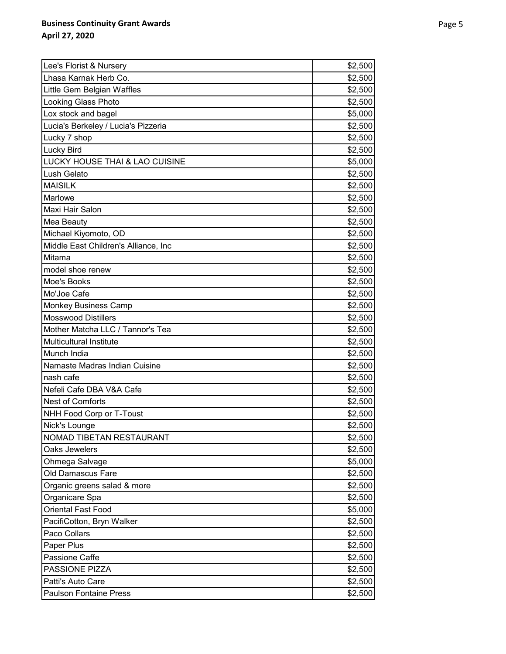| Lee's Florist & Nursery              | \$2,500 |
|--------------------------------------|---------|
| Lhasa Karnak Herb Co.                | \$2,500 |
| Little Gem Belgian Waffles           | \$2,500 |
| Looking Glass Photo                  | \$2,500 |
| Lox stock and bagel                  | \$5,000 |
| Lucia's Berkeley / Lucia's Pizzeria  | \$2,500 |
| Lucky 7 shop                         | \$2,500 |
| Lucky Bird                           | \$2,500 |
| LUCKY HOUSE THAI & LAO CUISINE       | \$5,000 |
| Lush Gelato                          | \$2,500 |
| <b>MAISILK</b>                       | \$2,500 |
| Marlowe                              | \$2,500 |
| Maxi Hair Salon                      | \$2,500 |
| Mea Beauty                           | \$2,500 |
| Michael Kiyomoto, OD                 | \$2,500 |
| Middle East Children's Alliance, Inc | \$2,500 |
| Mitama                               | \$2,500 |
| model shoe renew                     | \$2,500 |
| Moe's Books                          | \$2,500 |
| Mo'Joe Cafe                          | \$2,500 |
| <b>Monkey Business Camp</b>          | \$2,500 |
| <b>Mosswood Distillers</b>           | \$2,500 |
| Mother Matcha LLC / Tannor's Tea     | \$2,500 |
| Multicultural Institute              | \$2,500 |
| Munch India                          | \$2,500 |
| Namaste Madras Indian Cuisine        | \$2,500 |
| nash cafe                            | \$2,500 |
| Nefeli Cafe DBA V&A Cafe             | \$2,500 |
| <b>Nest of Comforts</b>              | \$2,500 |
| NHH Food Corp or T-Toust             | \$2,500 |
| Nick's Lounge                        | \$2,500 |
| NOMAD TIBETAN RESTAURANT             | \$2,500 |
| Oaks Jewelers                        | \$2,500 |
| Ohmega Salvage                       | \$5,000 |
| Old Damascus Fare                    | \$2,500 |
| Organic greens salad & more          | \$2,500 |
| Organicare Spa                       | \$2,500 |
| Oriental Fast Food                   | \$5,000 |
| PacifiCotton, Bryn Walker            | \$2,500 |
| Paco Collars                         | \$2,500 |
| Paper Plus                           | \$2,500 |
| Passione Caffe                       | \$2,500 |
| PASSIONE PIZZA                       | \$2,500 |
| Patti's Auto Care                    | \$2,500 |
| <b>Paulson Fontaine Press</b>        | \$2,500 |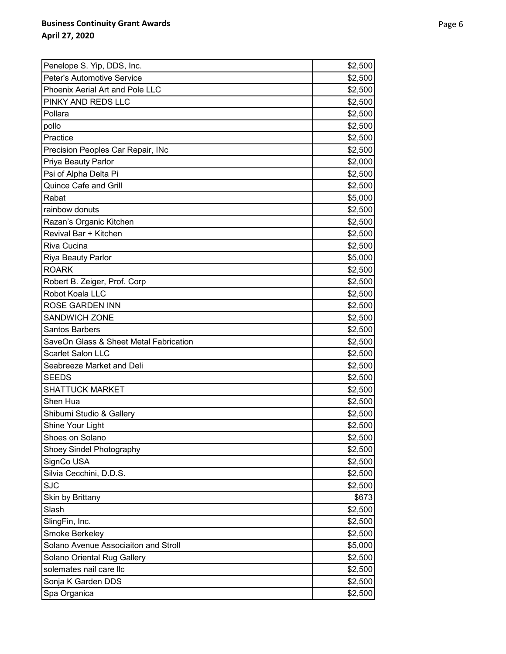| Penelope S. Yip, DDS, Inc.             | \$2,500 |
|----------------------------------------|---------|
| Peter's Automotive Service             | \$2,500 |
| Phoenix Aerial Art and Pole LLC        | \$2,500 |
| PINKY AND REDS LLC                     | \$2,500 |
| Pollara                                | \$2,500 |
| pollo                                  | \$2,500 |
| Practice                               | \$2,500 |
| Precision Peoples Car Repair, INc      | \$2,500 |
| Priya Beauty Parlor                    | \$2,000 |
| Psi of Alpha Delta Pi                  | \$2,500 |
| <b>Quince Cafe and Grill</b>           | \$2,500 |
| Rabat                                  | \$5,000 |
| rainbow donuts                         | \$2,500 |
| Razan's Organic Kitchen                | \$2,500 |
| Revival Bar + Kitchen                  | \$2,500 |
| Riva Cucina                            | \$2,500 |
| Riya Beauty Parlor                     | \$5,000 |
| <b>ROARK</b>                           | \$2,500 |
| Robert B. Zeiger, Prof. Corp           | \$2,500 |
| Robot Koala LLC                        | \$2,500 |
| <b>ROSE GARDEN INN</b>                 | \$2,500 |
| <b>SANDWICH ZONE</b>                   | \$2,500 |
| <b>Santos Barbers</b>                  | \$2,500 |
| SaveOn Glass & Sheet Metal Fabrication | \$2,500 |
| <b>Scarlet Salon LLC</b>               | \$2,500 |
| Seabreeze Market and Deli              | \$2,500 |
| <b>SEEDS</b>                           | \$2,500 |
| <b>SHATTUCK MARKET</b>                 | \$2,500 |
| Shen Hua                               | \$2,500 |
| Shibumi Studio & Gallery               | \$2,500 |
| Shine Your Light                       | \$2,500 |
| Shoes on Solano                        | \$2,500 |
| Shoey Sindel Photography               | \$2,500 |
| SignCo USA                             | \$2,500 |
| Silvia Cecchini, D.D.S.                | \$2,500 |
| <b>SJC</b>                             | \$2,500 |
| Skin by Brittany                       | \$673   |
| Slash                                  | \$2,500 |
| SlingFin, Inc.                         | \$2,500 |
| Smoke Berkeley                         | \$2,500 |
| Solano Avenue Associaiton and Stroll   | \$5,000 |
| Solano Oriental Rug Gallery            | \$2,500 |
| solemates nail care llc                | \$2,500 |
| Sonja K Garden DDS                     | \$2,500 |
| Spa Organica                           | \$2,500 |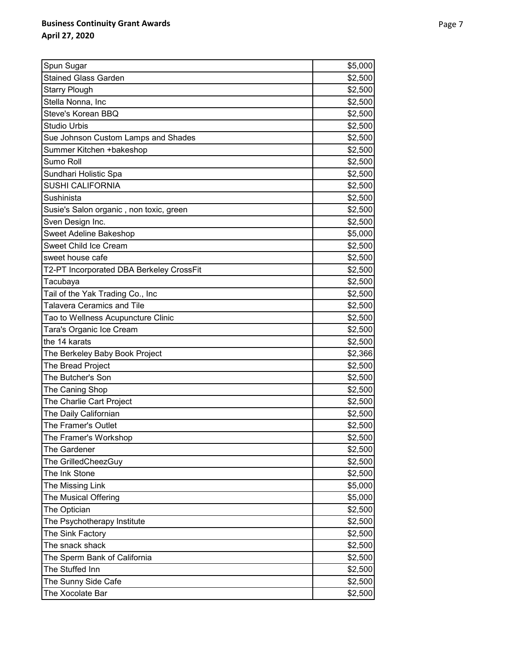| Spun Sugar                               | \$5,000 |
|------------------------------------------|---------|
| <b>Stained Glass Garden</b>              | \$2,500 |
| <b>Starry Plough</b>                     | \$2,500 |
| Stella Nonna, Inc                        | \$2,500 |
| Steve's Korean BBQ                       | \$2,500 |
| <b>Studio Urbis</b>                      | \$2,500 |
| Sue Johnson Custom Lamps and Shades      | \$2,500 |
| Summer Kitchen +bakeshop                 | \$2,500 |
| Sumo Roll                                | \$2,500 |
| Sundhari Holistic Spa                    | \$2,500 |
| <b>SUSHI CALIFORNIA</b>                  | \$2,500 |
| Sushinista                               | \$2,500 |
| Susie's Salon organic, non toxic, green  | \$2,500 |
| Sven Design Inc.                         | \$2,500 |
| <b>Sweet Adeline Bakeshop</b>            | \$5,000 |
| <b>Sweet Child Ice Cream</b>             | \$2,500 |
| sweet house cafe                         | \$2,500 |
| T2-PT Incorporated DBA Berkeley CrossFit | \$2,500 |
| Tacubaya                                 | \$2,500 |
| Tail of the Yak Trading Co., Inc         | \$2,500 |
| <b>Talavera Ceramics and Tile</b>        | \$2,500 |
| Tao to Wellness Acupuncture Clinic       | \$2,500 |
| Tara's Organic Ice Cream                 | \$2,500 |
| the 14 karats                            | \$2,500 |
| The Berkeley Baby Book Project           | \$2,366 |
| The Bread Project                        | \$2,500 |
| The Butcher's Son                        | \$2,500 |
| The Caning Shop                          | \$2,500 |
| The Charlie Cart Project                 | \$2,500 |
| The Daily Californian                    | \$2,500 |
| The Framer's Outlet                      | \$2,500 |
| The Framer's Workshop                    | \$2,500 |
| The Gardener                             | \$2,500 |
| The GrilledCheezGuy                      | \$2,500 |
| The Ink Stone                            | \$2,500 |
| The Missing Link                         | \$5,000 |
| The Musical Offering                     | \$5,000 |
| The Optician                             | \$2,500 |
| The Psychotherapy Institute              | \$2,500 |
| The Sink Factory                         | \$2,500 |
| The snack shack                          | \$2,500 |
| The Sperm Bank of California             | \$2,500 |
| The Stuffed Inn                          | \$2,500 |
| The Sunny Side Cafe                      | \$2,500 |
| The Xocolate Bar                         | \$2,500 |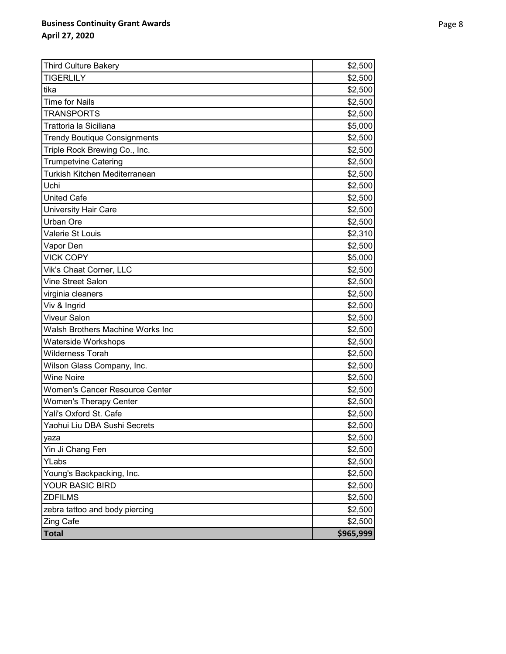| <b>Third Culture Bakery</b>           | \$2,500   |
|---------------------------------------|-----------|
| <b>TIGERLILY</b>                      | \$2,500   |
| tika                                  | \$2,500   |
| <b>Time for Nails</b>                 | \$2,500   |
| <b>TRANSPORTS</b>                     | \$2,500   |
| Trattoria la Siciliana                | \$5,000   |
| <b>Trendy Boutique Consignments</b>   | \$2,500   |
| Triple Rock Brewing Co., Inc.         | \$2,500   |
| <b>Trumpetvine Catering</b>           | \$2,500   |
| Turkish Kitchen Mediterranean         | \$2,500   |
| Uchi                                  | \$2,500   |
| <b>United Cafe</b>                    | \$2,500   |
| <b>University Hair Care</b>           | \$2,500   |
| <b>Urban Ore</b>                      | \$2,500   |
| Valerie St Louis                      | \$2,310   |
| Vapor Den                             | \$2,500   |
| <b>VICK COPY</b>                      | \$5,000   |
| Vik's Chaat Corner, LLC               | \$2,500   |
| Vine Street Salon                     | \$2,500   |
| virginia cleaners                     | \$2,500   |
| Viv & Ingrid                          | \$2,500   |
| <b>Viveur Salon</b>                   | \$2,500   |
| Walsh Brothers Machine Works Inc      | \$2,500   |
| Waterside Workshops                   | \$2,500   |
| <b>Wilderness Torah</b>               | \$2,500   |
| Wilson Glass Company, Inc.            | \$2,500   |
| <b>Wine Noire</b>                     | \$2,500   |
| <b>Women's Cancer Resource Center</b> | \$2,500   |
| <b>Women's Therapy Center</b>         | \$2,500   |
| Yali's Oxford St. Cafe                | \$2,500   |
| Yaohui Liu DBA Sushi Secrets          | \$2,500   |
| yaza                                  | \$2,500   |
| Yin Ji Chang Fen                      | \$2,500   |
| YLabs                                 | \$2,500   |
| Young's Backpacking, Inc.             | \$2,500   |
| YOUR BASIC BIRD                       | \$2,500   |
| <b>ZDFILMS</b>                        | \$2,500   |
| zebra tattoo and body piercing        | \$2,500   |
| <b>Zing Cafe</b>                      | \$2,500   |
| <b>Total</b>                          | \$965,999 |